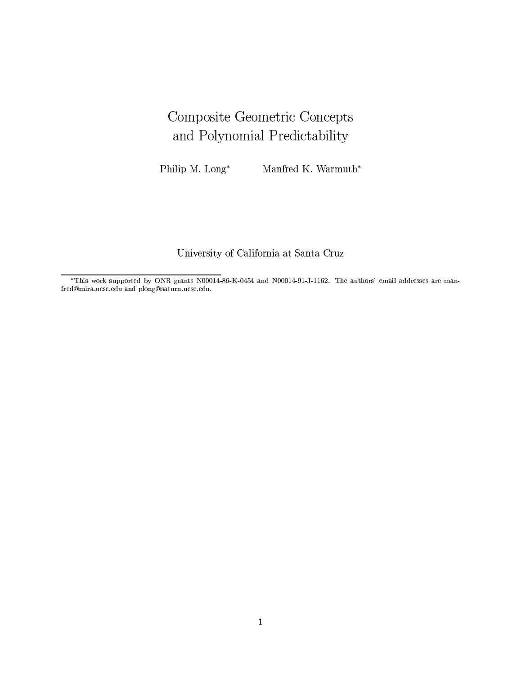# Composite Geometric Concepts and Polynomial Predictability

Philip M. Long\* Manfred K. Warmuth\*

University of California at Santa Cruz

\*This work supported by ONR grants N00014-86-K-0454 and N00014-91-J-1162. The authors' email addresses are manfred@mira.ucsc.edu and plong@saturn.ucsc.edu.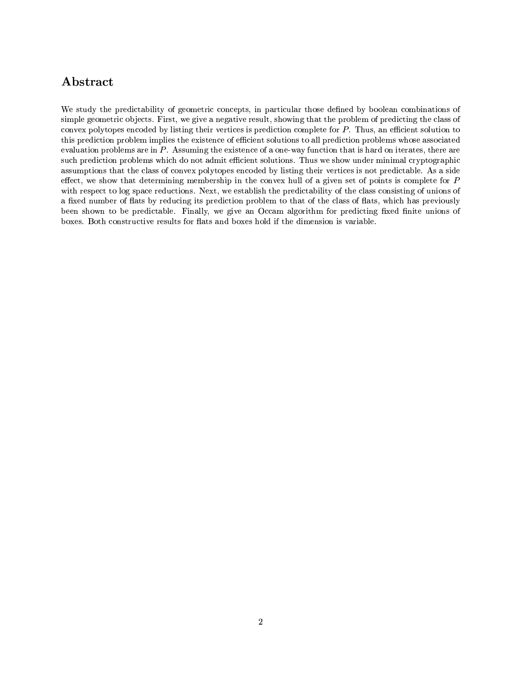## Abstract

We study the predictability of geometric concepts, in particular those defined by boolean combinations of simple geometric objects. First, we give a negative result, showing that the problem of predicting the class of convex polytopes encoded by listing their vertices is prediction complete for P. Thus, an efficient solution to this prediction problem implies the existence of efficient solutions to all prediction problems whose associated evaluation problems are in  $P$ . Assuming the existence of a one-way function that is hard on iterates, there are such prediction problems which do not admit efficient solutions. Thus we show under minimal cryptographic assumptions that the class of convex polytopes encoded by listing their vertices is not predictable. As a side effect, we show that determining membership in the convex hull of a given set of points is complete for  $P$ with respect to log space reductions. Next, we establish the predictability of the class consisting of unions of a fixed number of flats by reducing its prediction problem to that of the class of flats, which has previously been shown to be predictable. Finally, we give an Occam algorithm for predicting fixed finite unions of boxes. Both constructive results for flats and boxes hold if the dimension is variable.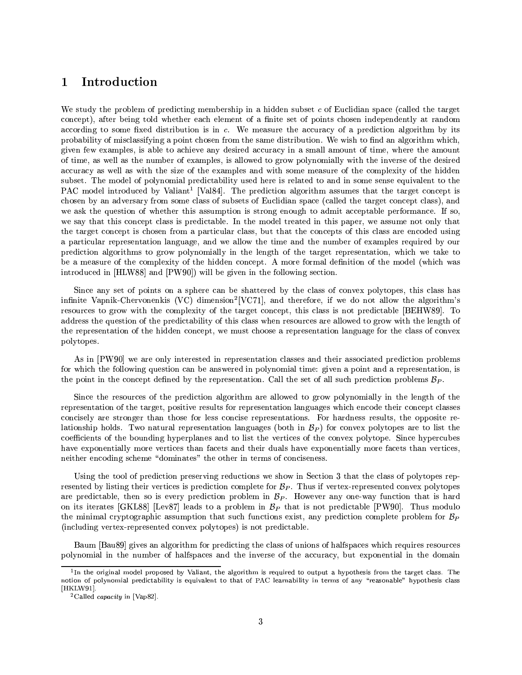### Introduction  $\mathbf{1}$

We study the problem of predicting membership in a hidden subset c of Euclidian space (called the target concept), after being told whether each element of a finite set of points chosen independently at random according to some fixed distribution is in c. We measure the accuracy of a prediction algorithm by its probability of misclassifying a point chosen from the same distribution. We wish to find an algorithm which, given few examples, is able to achieve any desired accuracy in a small amount of time, where the amount of time, as well as the number of examples, is allowed to grow polynomially with the inverse of the desired accuracy as well as with the size of the examples and with some measure of the complexity of the hidden subset. The model of polynomial predictability used here is related to and in some sense equivalent to the PAC model introduced by Valiant<sup>1</sup> [Val84]. The prediction algorithm assumes that the target concept is chosen by an adversary from some class of subsets of Euclidian space (called the target concept class), and we ask the question of whether this assumption is strong enough to admit acceptable performance. If so, we say that this concept class is predictable. In the model treated in this paper, we assume not only that the target concept is chosen from a particular class, but that the concepts of this class are encoded using a particular representation language, and we allow the time and the number of examples required by our prediction algorithms to grow polynomially in the length of the target representation, which we take to be a measure of the complexity of the hidden concept. A more formal definition of the model (which was introduced in [HLW88] and [PW90]) will be given in the following section.

Since any set of points on a sphere can be shattered by the class of convex polytopes, this class has infinite Vapnik-Chervonenkis (VC) dimension<sup>2</sup>[VC71], and therefore, if we do not allow the algorithm's resources to grow with the complexity of the target concept, this class is not predictable [BEHW89]. To address the question of the predictability of this class when resources are allowed to grow with the length of the representation of the hidden concept, we must choose a representation language for the class of convex polytopes.

As in [PW90] we are only interested in representation classes and their associated prediction problems for which the following question can be answered in polynomial time: given a point and a representation, is the point in the concept defined by the representation. Call the set of all such prediction problems  $B_P$ .

Since the resources of the prediction algorithm are allowed to grow polynomially in the length of the representation of the target, positive results for representation languages which encode their concept classes concisely are stronger than those for less concise representations. For hardness results, the opposite relationship holds. Two natural representation languages (both in  $B<sub>P</sub>$ ) for convex polytopes are to list the coefficients of the bounding hyperplanes and to list the vertices of the convex polytope. Since hypercubes have exponentially more vertices than facets and their duals have exponentially more facets than vertices. neither encoding scheme "dominates" the other in terms of conciseness.

Using the tool of prediction preserving reductions we show in Section 3 that the class of polytopes represented by listing their vertices is prediction complete for  $\mathcal{B}_P$ . Thus if vertex-represented convex polytopes are predictable, then so is every prediction problem in  $B<sub>P</sub>$ . However any one-way function that is hard on its iterates [GKL88] [Lev87] leads to a problem in  $B_P$  that is not predictable [PW90]. Thus modulo the minimal cryptographic assumption that such functions exist, any prediction complete problem for  $B_P$ (including vertex-represented convex polytopes) is not predictable.

Baum [Bau89] gives an algorithm for predicting the class of unions of halfspaces which requires resources polynomial in the number of halfspaces and the inverse of the accuracy, but exponential in the domain

 $^1\! \mathrm{In}$  the original model proposed by Valiant, the algorithm is required to output a hypothesis from the target class. The notion of polynomial predictability is equivalent to that of PAC learnability in terms of any "reasonable" hypothesis class  $[HKLW91].$ 

<sup>&</sup>lt;sup>2</sup> Called *capacity* in [Vap82].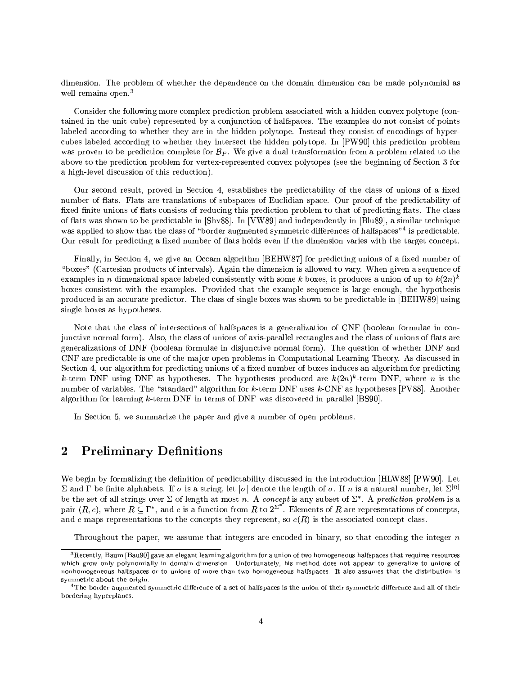dimension. The problem of whether the dependence on the domain dimension can be made polynomial as well remains open.<sup>3</sup>

Consider the following more complex prediction problem associated with a hidden convex polytope (contained in the unit cube) represented by a conjunction of halfspaces. The examples do not consist of points labeled according to whether they are in the hidden polytope. Instead they consist of encodings of hypercubes labeled according to whether they intersect the hidden polytope. In [PW90] this prediction problem was proven to be prediction complete for  $B_P$ . We give a dual transformation from a problem related to the above to the prediction problem for vertex-represented convex polytopes (see the beginning of Section 3 for a high-level discussion of this reduction).

Our second result, proved in Section 4, establishes the predictability of the class of unions of a fixed number of flats. Flats are translations of subspaces of Euclidian space. Our proof of the predictability of fixed finite unions of flats consists of reducing this prediction problem to that of predicting flats. The class of flats was shown to be predictable in [Shv88]. In [VW89] and independently in [Blu89], a similar technique was applied to show that the class of "border augmented symmetric differences of halfspaces"<sup>4</sup> is predictable. Our result for predicting a fixed number of flats holds even if the dimension varies with the target concept.

Finally, in Section 4, we give an Occam algorithm [BEHW87] for predicting unions of a fixed number of "boxes" (Cartesian products of intervals). Again the dimension is allowed to vary. When given a sequence of examples in n dimensional space labeled consistently with some k boxes, it produces a union of up to  $k(2n)^k$ boxes consistent with the examples. Provided that the example sequence is large enough, the hypothesis produced is an accurate predictor. The class of single boxes was shown to be predictable in [BEHW89] using single boxes as hypotheses.

Note that the class of intersections of halfspaces is a generalization of CNF (boolean formulae in conjunctive normal form). Also, the class of unions of axis-parallel rectangles and the class of unions of flats are generalizations of DNF (boolean formulae in disjunctive normal form). The question of whether DNF and CNF are predictable is one of the major open problems in Computational Learning Theory. As discussed in Section 4, our algorithm for predicting unions of a fixed number of boxes induces an algorithm for predicting k-term DNF using DNF as hypotheses. The hypotheses produced are  $k(2n)^k$ -term DNF, where n is the number of variables. The "standard" algorithm for k-term DNF uses k-CNF as hypotheses [PV88]. Another algorithm for learning  $k$ -term DNF in terms of DNF was discovered in parallel [BS90].

In Section 5, we summarize the paper and give a number of open problems.

### $\overline{2}$ **Preliminary Definitions**

We begin by formalizing the definition of predictability discussed in the introduction [HLW88] [PW90]. Let  $\Sigma$  and  $\Gamma$  be finite alphabets. If  $\sigma$  is a string, let  $|\sigma|$  denote the length of  $\sigma$ . If n is a natural number, let  $\Sigma^{[n]}$ be the set of all strings over  $\Sigma$  of length at most n. A concept is any subset of  $\Sigma^*$ . A prediction problem is a pair  $(R, c)$ , where  $R \subseteq \Gamma^*$ , and c is a function from R to  $2^{\Sigma^*}$ . Elements of R are representations of concepts. and c maps representations to the concepts they represent, so  $c(R)$  is the associated concept class.

Throughout the paper, we assume that integers are encoded in binary, so that encoding the integer  $n$ 

 ${}^{3}$ Recently, Baum [Bau90] gave an elegant learning algorithm for a union of two homogeneous halfspaces that requires resources which grow only polynomially in domain dimension. Unfortunately, his method does not appear to generalize to unions of nonhomogeneous halfspaces or to unions of more than two homogeneous halfspaces. It also assumes that the distribution is symmetric about the origin.

 $^4\rm{The}$  border augmented symmetric difference of a set of halfspaces is the union of their symmetric difference and all of their bordering hyperplanes.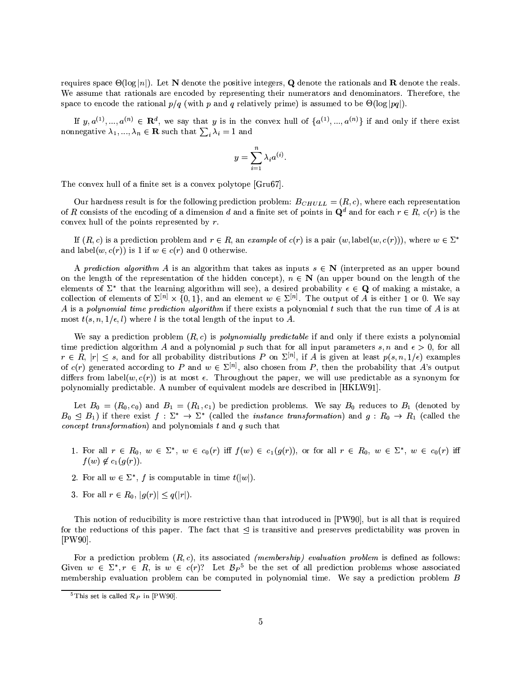requires space  $\Theta(\log |n|)$ . Let N denote the positive integers, Q denote the rationals and R denote the reals. We assume that rationals are encoded by representing their numerators and denominators. Therefore, the space to encode the rational  $p/q$  (with p and q relatively prime) is assumed to be  $\Theta(\log |pq|)$ .

If  $y, a^{(1)}, ..., a^{(n)} \in \mathbb{R}^d$ , we say that y is in the convex hull of  $\{a^{(1)}, ..., a^{(n)}\}$  if and only if there exist nonnegative  $\lambda_1, ..., \lambda_n \in \mathbf{R}$  such that  $\sum_i \lambda_i = 1$  and

$$
y = \sum_{i=1}^{n} \lambda_i a^{(i)}.
$$

The convex hull of a finite set is a convex polytope [Gru67].

Our hardness result is for the following prediction problem:  $B_{CHULL} = (R, c)$ , where each representation of R consists of the encoding of a dimension d and a finite set of points in  $\mathbf{Q}^d$  and for each  $r \in R$ ,  $c(r)$  is the convex hull of the points represented by  $r$ .

If  $(R, c)$  is a prediction problem and  $r \in R$ , an example of  $c(r)$  is a pair  $(w, \text{label}(w, c(r)))$ , where  $w \in \Sigma^*$ and label $(w, c(r))$  is 1 if  $w \in c(r)$  and 0 otherwise.

A prediction algorithm A is an algorithm that takes as inputs  $s \in N$  (interpreted as an upper bound on the length of the representation of the hidden concept),  $n \in \mathbb{N}$  (an upper bound on the length of the elements of  $\Sigma^*$  that the learning algorithm will see), a desired probability  $\epsilon \in \mathbf{Q}$  of making a mistake, a collection of elements of  $\Sigma^{[n]} \times \{0,1\}$ , and an element  $w \in \Sigma^{[n]}$ . The output of A is either 1 or 0. We say A is a polynomial time prediction algorithm if there exists a polynomial t such that the run time of A is at most  $t(s, n, 1/\epsilon, l)$  where l is the total length of the input to A.

We say a prediction problem  $(R, c)$  is *polynomially predictable* if and only if there exists a polynomial time prediction algorithm A and a polynomial p such that for all input parameters s, n and  $\epsilon > 0$ , for all  $r \in R$ ,  $|r| \leq s$ , and for all probability distributions P on  $\Sigma^{[n]}$ , if A is given at least  $p(s, n, 1/\epsilon)$  examples of  $c(r)$  generated according to P and  $w \in \Sigma^{[n]}$ , also chosen from P, then the probability that A's output differs from label $(w, c(r))$  is at most  $\epsilon$ . Throughout the paper, we will use predictable as a synonym for polynomially predictable. A number of equivalent models are described in [HKLW91].

Let  $B_0 = (R_0, c_0)$  and  $B_1 = (R_1, c_1)$  be prediction problems. We say  $B_0$  reduces to  $B_1$  (denoted by  $B_0 \trianglelefteq B_1$  if there exist  $f: \Sigma^* \to \Sigma^*$  (called the *instance transformation*) and  $g: R_0 \to R_1$  (called the *concept transformation*) and polynomials  $t$  and  $q$  such that

- 1. For all  $r \in R_0$ ,  $w \in \Sigma^*$ ,  $w \in c_0(r)$  iff  $f(w) \in c_1(g(r))$ , or for all  $r \in R_0$ ,  $w \in \Sigma^*$ ,  $w \in c_0(r)$  iff  $f(w) \notin c_1(g(r)).$
- 2. For all  $w \in \Sigma^*$ , f is computable in time  $t(|w|)$ .
- 3. For all  $r \in R_0$ ,  $|g(r)| \leq q(|r|)$ .

This notion of reducibility is more restrictive than that introduced in [PW90], but is all that is required for the reductions of this paper. The fact that  $\leq$  is transitive and preserves predictability was proven in  $[PW90]$ 

For a prediction problem  $(R, c)$ , its associated *(membership)* evaluation problem is defined as follows: Given  $w \in \Sigma^*, r \in R$ , is  $w \in c(r)$ ? Let  $\mathcal{B}_P^5$  be the set of all prediction problems whose associated membership evaluation problem can be computed in polynomial time. We say a prediction problem B

<sup>&</sup>lt;sup>5</sup>This set is called  $\mathcal{R}_P$  in [PW90].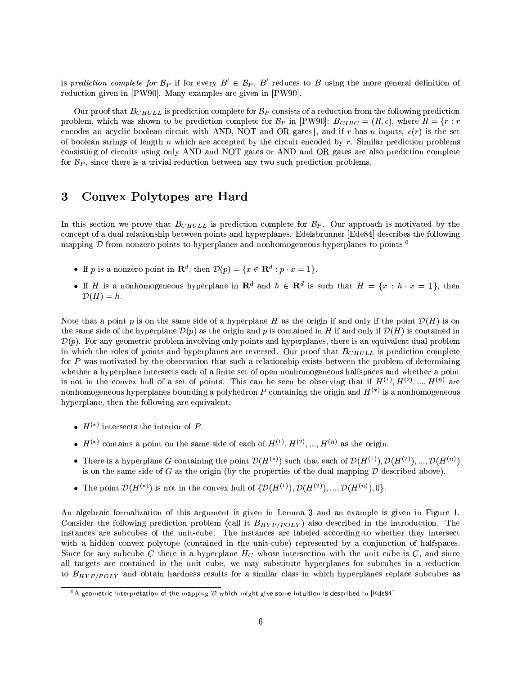is prediction complete for  $\mathcal{B}_P$  if for every  $B' \in \mathcal{B}_P$ , B' reduces to B using the more general definition of reduction given in [PW90]. Many examples are given in [PW90].

Our proof that  $B_{CHULL}$  is prediction complete for  $B_P$  consists of a reduction from the following prediction problem, which was shown to be prediction complete for  $B_P$  in [PW90]:  $B_{CIRC} = (R, c)$ , where  $R = \{r : r$ encodes an acyclic boolean circuit with AND, NOT and OR gates}, and if r has n inputs,  $c(r)$  is the set of boolean strings of length  $n$  which are accepted by the circuit encoded by  $r$ . Similar prediction problems consisting of circuits using only AND and NOT gates or AND and OR gates are also prediction complete for  $B_P$ , since there is a trivial reduction between any two such prediction problems.

### **Convex Polytopes are Hard** 3

In this section we prove that  $B_{CHULL}$  is prediction complete for  $B_P$ . Our approach is motivated by the concept of a dual relationship between points and hyperplanes. Edelsbrunner [Ede84] describes the following mapping  $\mathcal D$  from nonzero points to hyperplanes and nonhomogeneous hyperplanes to points  $\mathfrak h$ 

- If p is a nonzero point in  $\mathbf{R}^d$ , then  $\mathcal{D}(p) = \{x \in \mathbf{R}^d : p \cdot x = 1\}.$
- If H is a nonhomogeneous hyperplane in  $\mathbb{R}^d$  and  $h \in \mathbb{R}^d$  is such that  $H = \{x : h \cdot x = 1\}$ , then  $\mathcal{D}(H)=h.$

Note that a point p is on the same side of a hyperplane H as the origin if and only if the point  $\mathcal{D}(H)$  is on the same side of the hyperplane  $\mathcal{D}(p)$  as the origin and p is contained in H if and only if  $\mathcal{D}(H)$  is contained in  $\mathcal{D}(p)$ . For any geometric problem involving only points and hyperplanes, there is an equivalent dual problem in which the roles of points and hyperplanes are reversed. Our proof that  $B_{CHUL}$  is prediction complete for  $P$  was motivated by the observation that such a relationship exists between the problem of determining whether a hyperplane intersects each of a finite set of open nonhomogeneous halfspaces and whether a point is not in the convex hull of a set of points. This can be seen be observing that if  $H^{(1)}, H^{(2)}, ..., H^{(n)}$  are nonhomogeneous hyperplanes bounding a polyhedron P containing the origin and  $H^{(*)}$  is a nonhomogeneous hyperplane, then the following are equivalent:

- $H^{(*)}$  intersects the interior of P.
- $H^{(*)}$  contains a point on the same side of each of  $H^{(1)}, H^{(2)}, ..., H^{(n)}$  as the origin.
- There is a hyperplane G containing the point  $\mathcal{D}(H^{(*)})$  such that each of  $\mathcal{D}(H^{(1)}), \mathcal{D}(H^{(2)}), ..., \mathcal{D}(H^{(n)})$ is on the same side of G as the origin (by the properties of the dual mapping  $\mathcal D$  described above).
- The point  $\mathcal{D}(H^{(*)})$  is not in the convex hull of  $\{\mathcal{D}(H^{(1)}), \mathcal{D}(H^{(2)}), ..., \mathcal{D}(H^{(n)}), 0\}$ .

An algebraic formalization of this argument is given in Lemma 3 and an example is given in Figure 1. Consider the following prediction problem (call it  $B_{HYP(POLY)}$ ) also described in the introduction. The instances are subcubes of the unit-cube. The instances are labeled according to whether they intersect with a hidden convex polytope (contained in the unit-cube) represented by a conjunction of halfspaces. Since for any subcube C there is a hyperplane  $H_C$  whose intersection with the unit cube is C, and since all targets are contained in the unit cube, we may substitute hyperplanes for subcubes in a reduction to  $B_{HYP/POLY}$  and obtain hardness results for a similar class in which hyperplanes replace subcubes as

<sup>&</sup>lt;sup>6</sup>A geometric interpretation of the mapping D which might give some intuition is described in [Ede84].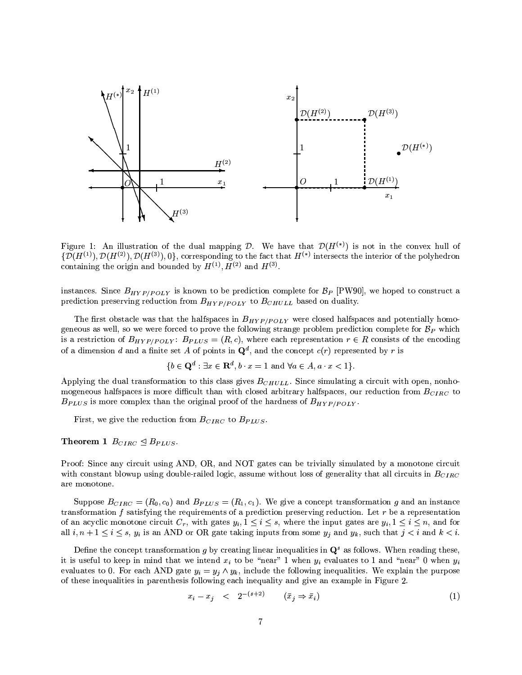

Figure 1: An illustration of the dual mapping D. We have that  $\mathcal{D}(H^{(*)})$  is not in the convex hull of  $\{\mathcal{D}(H^{(1)}), \mathcal{D}(H^{(2)}), \mathcal{D}(H^{(3)}), 0\}$ , corresponding to the fact that  $H^{(*)}$  intersects the interior of the polyhedron containing the origin and bounded by  $H^{(1)}$ ,  $H^{(2)}$  and  $H^{(3)}$ .

instances. Since  $B_{HYP/POLY}$  is known to be prediction complete for  $B_P$  [PW90], we hoped to construct a prediction preserving reduction from  $B_{HYP/POLY}$  to  $B_{CHULL}$  based on duality.

The first obstacle was that the halfspaces in  $B_{HYP/POLY}$  were closed halfspaces and potentially homogeneous as well, so we were forced to prove the following strange problem prediction complete for  $B_P$  which is a restriction of  $B_{HYP/POLY}$ :  $B_{PLUS} = (R, c)$ , where each representation  $r \in R$  consists of the encoding of a dimension d and a finite set A of points in  $\mathbf{Q}^d$ , and the concept  $c(r)$  represented by r is

$$
\{b \in \mathbf{Q}^d : \exists x \in \mathbf{R}^d, b \cdot x = 1 \text{ and } \forall a \in A, a \cdot x < 1\}
$$

Applying the dual transformation to this class gives  $B_{CHULL}$ . Since simulating a circuit with open, nonhomogeneous halfspaces is more difficult than with closed arbitrary halfspaces, our reduction from  $B_{CIRC}$  to  $B_{PLUS}$  is more complex than the original proof of the hardness of  $B_{HYP/POLY}$ .

First, we give the reduction from  $B_{CIRC}$  to  $B_{PLUS}$ .

### Theorem 1  $B_{CIRC} \trianglelefteq B_{PLUS}$ .

Proof: Since any circuit using AND, OR, and NOT gates can be trivially simulated by a monotone circuit with constant blowup using double-railed logic, assume without loss of generality that all circuits in  $B_{CIRC}$ are monotone.

Suppose  $B_{CIRC} = (R_0, c_0)$  and  $B_{PLUS} = (R_1, c_1)$ . We give a concept transformation g and an instance transformation  $f$  satisfying the requirements of a prediction preserving reduction. Let  $r$  be a representation of an acyclic monotone circuit  $C_r$ , with gates  $y_i, 1 \leq i \leq s$ , where the input gates are  $y_i, 1 \leq i \leq n$ , and for all  $i, n + 1 \le i \le s$ ,  $y_i$  is an AND or OR gate taking inputs from some  $y_j$  and  $y_k$ , such that  $j < i$  and  $k < i$ .

Define the concept transformation g by creating linear inequalities in  $\mathbf{Q}^s$  as follows. When reading these, it is useful to keep in mind that we intend  $x_i$  to be "near" 1 when  $y_i$  evaluates to 1 and "near" 0 when  $y_i$ evaluates to 0. For each AND gate  $y_i = y_j \wedge y_k$ , include the following inequalities. We explain the purpose of these inequalities in parenthesis following each inequality and give an example in Figure 2.

$$
x_i - x_j \quad < \quad 2^{-(s+2)} \qquad (\bar{x}_j \Rightarrow \bar{x}_i) \tag{1}
$$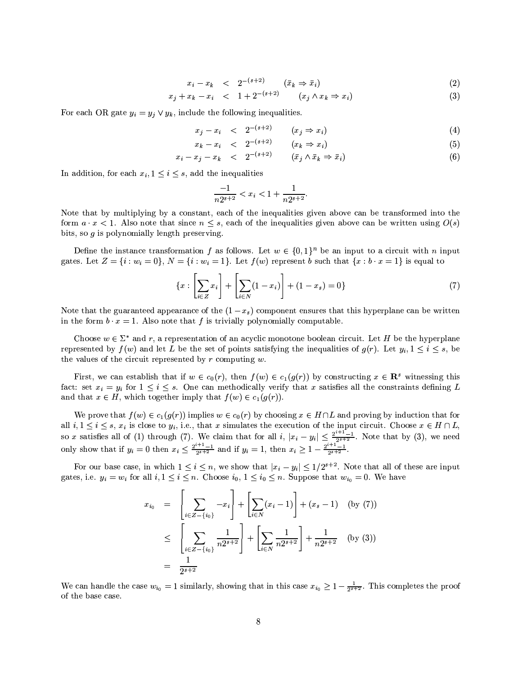$$
x_i - x_k \quad < \quad 2^{-(s+2)} \qquad (\bar{x}_k \Rightarrow \bar{x}_i) \tag{2}
$$

 $x_i + x_k - x_i \leq 1 + 2^{-(s+2)} \qquad (x_i \wedge x_k \Rightarrow x_i)$  $(3)$ 

For each OR gate  $y_i = y_j \vee y_k$ , include the following inequalities.

$$
x_i - x_i \quad < \quad 2^{-(s+2)} \qquad (x_i \Rightarrow x_i) \tag{4}
$$

$$
x_k - x_i \quad < \quad 2^{-(s+2)} \qquad (x_k \Rightarrow x_i) \tag{5}
$$

$$
x_i - x_j - x_k \quad < \quad 2^{-(s+2)} \qquad (\bar{x}_j \land \bar{x}_k \Rightarrow \bar{x}_i) \tag{6}
$$

In addition, for each  $x_i, 1 \leq i \leq s$ , add the inequalities

$$
\frac{-1}{n2^{s+2}} < x_i < 1 + \frac{1}{n2^{s+2}}
$$

Note that by multiplying by a constant, each of the inequalities given above can be transformed into the form  $a \cdot x < 1$ . Also note that since  $n \leq s$ , each of the inequalities given above can be written using  $O(s)$ bits, so  $g$  is polynomially length preserving.

Define the instance transformation f as follows. Let  $w \in \{0,1\}^n$  be an input to a circuit with n input gates. Let  $Z = \{i : w_i = 0\}$ ,  $N = \{i : w_i = 1\}$ . Let  $f(w)$  represent b such that  $\{x : b \cdot x = 1\}$  is equal to

$$
\{x : \left[\sum_{i \in Z} x_i\right] + \left[\sum_{i \in N} (1 - x_i)\right] + (1 - x_s) = 0\}
$$
\n(7)

Note that the guaranteed appearance of the  $(1-x_s)$  component ensures that this hyperplane can be written in the form  $b \cdot x = 1$ . Also note that f is trivially polynomially computable.

Choose  $w \in \Sigma^*$  and r, a representation of an acyclic monotone boolean circuit. Let H be the hyperplane represented by  $f(w)$  and let L be the set of points satisfying the inequalities of  $g(r)$ . Let  $y_i, 1 \le i \le s$ , be the values of the circuit represented by  $r$  computing  $w$ .

First, we can establish that if  $w \in c_0(r)$ , then  $f(w) \in c_1(g(r))$  by constructing  $x \in \mathbb{R}^s$  witnessing this fact: set  $x_i = y_i$  for  $1 \le i \le s$ . One can methodically verify that x satisfies all the constraints defining L and that  $x \in H$ , which together imply that  $f(w) \in c_1(g(r))$ .

We prove that  $f(w) \in c_1(g(r))$  implies  $w \in c_0(r)$  by choosing  $x \in H \cap L$  and proving by induction that for all  $i, 1 \leq i \leq s$ ,  $x_i$  is close to  $y_i$ , i.e., that x simulates the execution of the input circuit. Choose  $x \in H \cap L$ so x satisfies all of (1) through (7). We claim that for all  $i$ ,  $|x_i - y_i| \le \frac{2^{i+1}-1}{2^{s+2}}$ . Note that by (3), we need<br>only show that if  $y_i = 0$  then  $x_i \le \frac{2^{i+1}-1}{2^{s+2}}$  and if  $y_i = 1$ , then  $x_i \ge 1 - \frac{2^{i+1}-1}{2^{s+2$ 

For our base case, in which  $1 \leq i \leq n$ , we show that  $|x_i - y_i| \leq 1/2^{s+2}$ . Note that all of these are input gates, i.e.  $y_i = w_i$  for all  $i, 1 \leq i \leq n$ . Choose  $i_0, 1 \leq i_0 \leq n$ . Suppose that  $w_{i_0} = 0$ . We have

$$
x_{i_0} = \left[ \sum_{i \in Z - \{i_0\}} -x_i \right] + \left[ \sum_{i \in N} (x_i - 1) \right] + (x_s - 1) \quad \text{(by (7))}
$$
  

$$
\leq \left[ \sum_{i \in Z - \{i_0\}} \frac{1}{n2^{s+2}} \right] + \left[ \sum_{i \in N} \frac{1}{n2^{s+2}} \right] + \frac{1}{n2^{s+2}} \quad \text{(by (3))}
$$
  

$$
= \frac{1}{2^{s+2}}
$$

We can handle the case  $w_{i_0} = 1$  similarly, showing that in this case  $x_{i_0} \geq 1 - \frac{1}{2^{s+2}}$ . This completes the proof of the base case.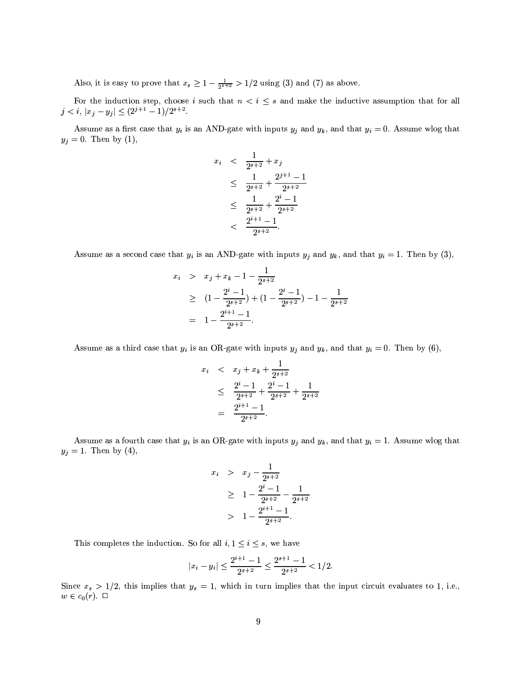Also, it is easy to prove that  $x_s \ge 1 - \frac{1}{2^{s+2}} > 1/2$  using (3) and (7) as above.

For the induction step, choose *i* such that  $n < i \le s$  and make the inductive assumption that for all  $j < i$ ,  $|x_j - y_j| \le (2^{j+1} - 1)/2^{s+2}$ .

Assume as a first case that  $y_i$  is an AND-gate with inputs  $y_j$  and  $y_k$ , and that  $y_i = 0$ . Assume wlog that  $y_j = 0$ . Then by (1),

$$
x_i < \frac{1}{2^{s+2}} + x_j
$$
  
\n
$$
\leq \frac{1}{2^{s+2}} + \frac{2^{j+1} - 1}{2^{s+2}}
$$
  
\n
$$
\leq \frac{1}{2^{s+2}} + \frac{2^i - 1}{2^{s+2}}
$$
  
\n
$$
< \frac{2^{i+1} - 1}{2^{i+2}}.
$$

Assume as a second case that  $y_i$  is an AND-gate with inputs  $y_j$  and  $y_k$ , and that  $y_i = 1$ . Then by (3),

$$
x_i > x_j + x_k - 1 - \frac{1}{2^{s+2}}
$$
  
\n
$$
\geq (1 - \frac{2^i - 1}{2^{s+2}}) + (1 - \frac{2^i - 1}{2^{s+2}}) - 1 - \frac{1}{2^{s+2}}
$$
  
\n
$$
= 1 - \frac{2^{i+1} - 1}{2^{s+2}}.
$$

Assume as a third case that  $y_i$  is an OR-gate with inputs  $y_j$  and  $y_k$ , and that  $y_i = 0$ . Then by (6),

$$
x_i < x_j + x_k + \frac{1}{2^{s+2}}
$$
\n
$$
\leq \frac{2^i - 1}{2^{s+2}} + \frac{2^i - 1}{2^{s+2}} + \frac{1}{2^{s+2}}
$$
\n
$$
= \frac{2^{i+1} - 1}{2^{s+2}}.
$$

Assume as a fourth case that  $y_i$  is an OR-gate with inputs  $y_j$  and  $y_k$ , and that  $y_i = 1$ . Assume wlog that  $y_j = 1$ . Then by (4),

$$
x_i > x_j - \frac{1}{2^{s+2}}
$$
  
\n
$$
\geq 1 - \frac{2^i - 1}{2^{s+2}} - \frac{1}{2^{s+2}}
$$
  
\n
$$
> 1 - \frac{2^{i+1} - 1}{2^{s+2}}.
$$

This completes the induction. So for all  $i, 1 \leq i \leq s$ , we have

$$
|x_i-y_i|\leq \frac{2^{i+1}-1}{2^{s+2}}\leq \frac{2^{s+1}-1}{2^{s+2}}<1/2
$$

Since  $x_s > 1/2$ , this implies that  $y_s = 1$ , which in turn implies that the input circuit evaluates to 1, i.e.,  $w\in c_0(r). \ \Box$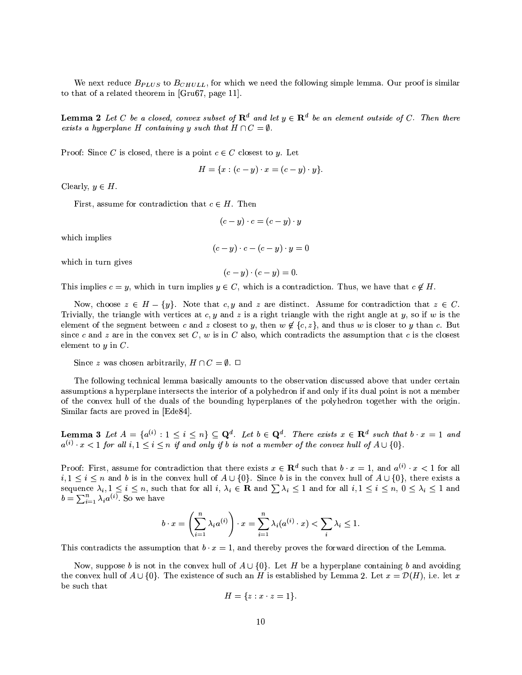We next reduce  $B_{PLUS}$  to  $B_{CHULL}$ , for which we need the following simple lemma. Our proof is similar to that of a related theorem in [Gru67, page 11].

**Lemma 2** Let C be a closed, convex subset of  $\mathbb{R}^d$  and let  $y \in \mathbb{R}^d$  be an element outside of C. Then there exists a hyperplane H containing y such that  $H \cap C = \emptyset$ .

Proof: Since C is closed, there is a point  $c \in C$  closest to y. Let

$$
H = \{x : (c - y) \cdot x = (c - y) \cdot y\}.
$$

Clearly,  $y \in H$ .

First, assume for contradiction that  $c \in H$ . Then

$$
(c-y)\cdot c = (c-y)\cdot y
$$

which implies

$$
(c - y) \cdot c - (c - y) \cdot y = 0
$$

which in turn gives

$$
(c-y)\cdot(c-y)=0.
$$

This implies  $c = y$ , which in turn implies  $y \in C$ , which is a contradiction. Thus, we have that  $c \notin H$ .

Now, choose  $z \in H - \{y\}$ . Note that c, y and z are distinct. Assume for contradiction that  $z \in C$ . Trivially, the triangle with vertices at  $c, y$  and z is a right triangle with the right angle at y, so if w is the element of the segment between c and z closest to y, then  $w \notin \{c, z\}$ , and thus w is closer to y than c. But since c and z are in the convex set C, w is in C also, which contradicts the assumption that c is the closest element to  $y$  in  $C$ .

Since z was chosen arbitrarily,  $H \cap C = \emptyset$ .  $\Box$ 

The following technical lemma basically amounts to the observation discussed above that under certain assumptions a hyperplane intersects the interior of a polyhedron if and only if its dual point is not a member of the convex hull of the duals of the bounding hyperplanes of the polyhedron together with the origin. Similar facts are proved in [Ede84].

**Lemma 3** Let  $A = \{a^{(i)} : 1 \leq i \leq n\} \subseteq \mathbf{Q}^d$ . Let  $b \in \mathbf{Q}^d$ . There exists  $x \in \mathbf{R}^d$  such that  $b \cdot x = 1$  and  $a^{(i)} \cdot x < 1$  for all  $i, 1 \leq i \leq n$  if and only if b is not a member of the convex hull of  $A \cup \{0\}$ .

Proof: First, assume for contradiction that there exists  $x \in \mathbb{R}^d$  such that  $b \cdot x = 1$ , and  $a^{(i)} \cdot x < 1$  for all  $i, 1 \leq i \leq n$  and b is in the convex hull of  $A \cup \{0\}$ . Since b is in the convex hull of  $A \cup \{0\}$ , there exists a sequence  $\lambda_i, 1 \leq i \leq n$ , such that for all  $i, \lambda_i \in \mathbf{R}$  and  $\sum \lambda_i \leq 1$  and for all  $i, 1 \leq i \leq n$ ,  $0 \leq \lambda_i \leq 1$  and  $b = \sum_{i=1}^{n} \lambda_i a^{(i)}$ . So we have

$$
b \cdot x = \left(\sum_{i=1}^n \lambda_i a^{(i)}\right) \cdot x = \sum_{i=1}^n \lambda_i (a^{(i)} \cdot x) < \sum_i \lambda_i \le 1
$$

This contradicts the assumption that  $b \cdot x = 1$ , and thereby proves the forward direction of the Lemma.

Now, suppose b is not in the convex hull of  $A \cup \{0\}$ . Let H be a hyperplane containing b and avoiding the convex hull of  $A \cup \{0\}$ . The existence of such an H is established by Lemma 2. Let  $x = \mathcal{D}(H)$ , i.e. let x be such that

$$
H = \{z : x \cdot z = 1\}.
$$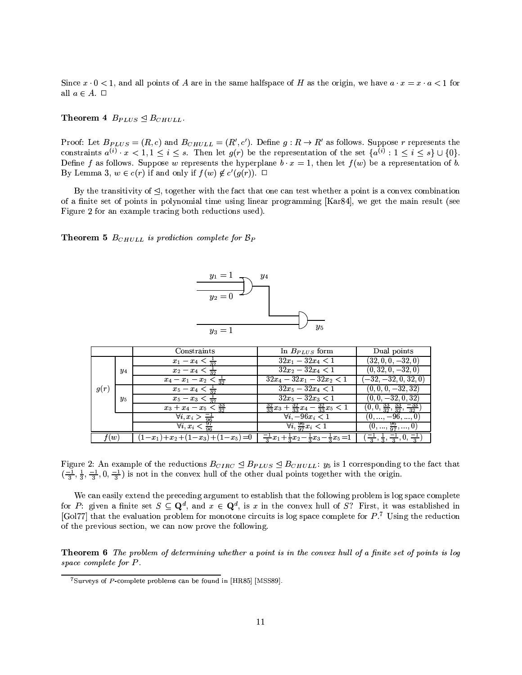Since  $x \cdot 0 < 1$ , and all points of A are in the same halfspace of H as the origin, we have  $a \cdot x = x \cdot a < 1$  for all  $a\in A.$   $\Box$ 

### Theorem 4  $B_{PLUS} \trianglelefteq B_{CHULL}$ .

Proof: Let  $B_{PLUS} = (R, c)$  and  $B_{CHULL} = (R', c')$ . Define  $g: R \to R'$  as follows. Suppose r represents the constraints  $a^{(i)} \cdot x < 1, 1 \leq i \leq s$ . Then let  $g(r)$  be the representation of the set  $\{a^{(i)}: 1 \leq i \leq s\} \cup \{0\}$ . Define f as follows. Suppose w represents the hyperplane  $b \cdot x = 1$ , then let  $f(w)$  be a representation of b. By Lemma 3,  $w \in c(r)$  if and only if  $f(w) \notin c'(g(r))$ .  $\Box$ 

By the transitivity of  $\triangleleft$ , together with the fact that one can test whether a point is a convex combination of a finite set of points in polynomial time using linear programming [Kar84], we get the main result (see Figure 2 for an example tracing both reductions used).

**Theorem 5**  $B_{CHULL}$  is prediction complete for  $B_P$ 



|      |         | Constraints                                   | In $B_{PLUS}$ form                                                       | Dual points                                            |
|------|---------|-----------------------------------------------|--------------------------------------------------------------------------|--------------------------------------------------------|
|      |         | $x_1 - x_4 < \frac{1}{32}$                    | $32x_1 - 32x_4 < 1$                                                      | $(32, 0, 0, -32, 0)$                                   |
|      | $y_4$   | $x_2 - x_4 < \frac{1}{32}$                    | $32x_2 - 32x_4 < 1$                                                      | $(0, 32, 0, -32, 0)$                                   |
|      |         | $x_4 - x_1 - x_2 < \frac{1}{32}$              | $32x_4 - 32x_1 - 32x_2 < 1$                                              | $(-32, -32, 0, 32, 0)$                                 |
| g(r) |         | $x_5 - x_4 < \frac{1}{32}$                    | $32x_5 - 32x_4 < 1$                                                      | $(0, 0, 0, -32, 32)$                                   |
|      | $y_{5}$ | $x_5 - x_3 < \frac{1}{32}$                    | $32x_5 - 32x_3 < 1$                                                      | $(0, 0, -32, 0, 32)$                                   |
|      |         | $x_3 + x_4 - x_5 < \frac{33}{32}$             | $\frac{32}{33}x_3+\frac{32}{33}x_4-\frac{32}{33}x_5<1$                   | $(0, 0, \frac{33}{32}, \frac{33}{32}, \frac{-33}{32})$ |
|      |         | $\forall i, x_i > \frac{-1}{96}$              | $\forall i \, -96x_i < 1$                                                | $(0, \ldots, -96, \ldots, 0)$                          |
|      |         | $\forall i, x_i < \frac{97}{96}$              | $\forall i, \frac{96}{97} x_i < 1$                                       | $(0, \ldots, \frac{96}{97}, \ldots, 0)$                |
| f(w) |         | $1-x_1$ ) + $x_2$ + $(1-x_3)$ + $(1-x_5)$ = 0 | $\frac{-1}{2}x_1 + \frac{1}{2}x_2 - \frac{1}{2}x_3 - \frac{1}{2}x_5 = 1$ |                                                        |

Figure 2: An example of the reductions  $B_{CIRC} \leq B_{PLUS} \leq B_{CHULL}$ :  $y_5$  is 1 corresponding to the fact that  $\left(\frac{-1}{3}, \frac{1}{3}, \frac{-1}{3}, 0, \frac{-1}{3}\right)$  is not in the convex hull of the other dual points together with the origin.

We can easily extend the preceding argument to establish that the following problem is log space complete for P: given a finite set  $S \subseteq \mathbf{Q}^d$ , and  $x \in \mathbf{Q}^d$ , is x in the convex hull of S? First, it was established in [Gol77] that the evaluation problem for monotone circuits is log space complete for  $P^7$ . Using the reduction of the previous section, we can now prove the following.

**Theorem 6** The problem of determining whether a point is in the convex hull of a finite set of points is log space complete for P.

 $7$ Surveys of P-complete problems can be found in [HR85] [MSS89].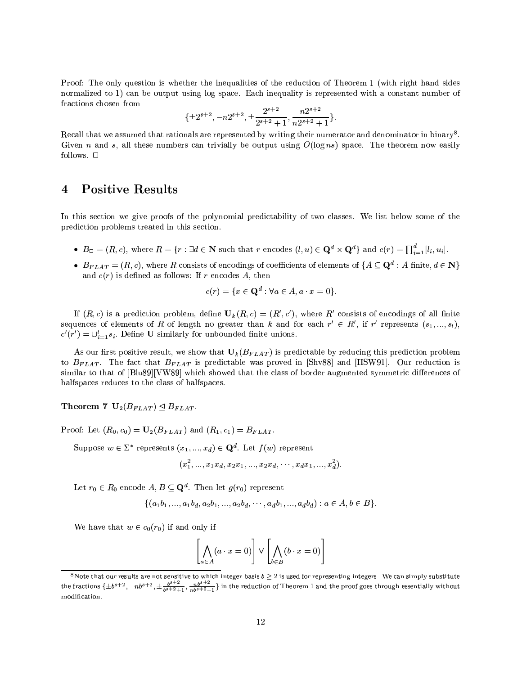Proof: The only question is whether the inequalities of the reduction of Theorem 1 (with right hand sides normalized to 1) can be output using log space. Each inequality is represented with a constant number of fractions chosen from

$$
\{\pm 2^{s+2}, -n2^{s+2}, \pm \frac{2^{s+2}}{2^{s+2}+1}, \frac{n2^{s+2}}{n2^{s+2}+1}\}.
$$

Recall that we assumed that rationals are represented by writing their numerator and denominator in binary<sup>8</sup>. Given n and s, all these numbers can trivially be output using  $O(\log ns)$  space. The theorem now easily follows.  $\square$ 

#### **Positive Results**  $\overline{\mathbf{4}}$

In this section we give proofs of the polynomial predictability of two classes. We list below some of the prediction problems treated in this section.

- $B_{\Box} = (R, c)$ , where  $R = \{r : \exists d \in \mathbb{N} \text{ such that } r \text{ encodes } (l, u) \in \mathbb{Q}^d \times \mathbb{Q}^d \}$  and  $c(r) = \prod_{i=1}^d [l_i, u_i]$ .
- $B_{FLAT} = (R, c)$ , where R consists of encodings of coefficients of elements of  $\{A \subseteq \mathbf{Q}^d : A \text{ finite}, d \in \mathbf{N}\}\$ and  $c(r)$  is defined as follows: If r encodes A, then

$$
c(r) = \{x \in \mathbf{Q}^d : \forall a \in A, a \cdot x = 0\}.
$$

If  $(R, c)$  is a prediction problem, define  $U_k(R, c) = (R', c')$ , where R' consists of encodings of all finite sequences of elements of R of length no greater than k and for each  $r' \in R'$ , if r' represents  $(s_1,...,s_l)$ .  $c'(r') = \bigcup_{i=1}^{l} s_i$ . Define **U** similarly for unbounded finite unions.

As our first positive result, we show that  $U_k(B_{FLAT})$  is predictable by reducing this prediction problem to  $B_{FLAT}$ . The fact that  $B_{FLAT}$  is predictable was proved in [Shv88] and [HSW91]. Our reduction is similar to that of [Blu89][VW89] which showed that the class of border augmented symmetric differences of halfspaces reduces to the class of halfspaces.

Theorem 7  $U_2(B_{FLAT}) \trianglelefteq B_{FLAT}$ .

Proof: Let  $(R_0, c_0) = U_2(B_{FLAT})$  and  $(R_1, c_1) = B_{FLAT}$ .

Suppose  $w \in \Sigma^*$  represents  $(x_1, ..., x_d) \in \mathbf{Q}^d$ . Let  $f(w)$  represent

$$
(x_1^2,...,x_1x_d,x_2x_1,...,x_2x_d,\cdots,x_dx_1,...,x_d^2).
$$

Let  $r_0 \in R_0$  encode  $A, B \subseteq \mathbf{Q}^d$ . Then let  $g(r_0)$  represent

$$
\{(a_1b_1, ..., a_1b_d, a_2b_1, ..., a_2b_d, ..., a_d b_1, ..., a_d b_d) : a \in A, b \in B\}.
$$

We have that  $w \in c_0(r_0)$  if and only if

$$
\left[\bigwedge_{a \in A} (a \cdot x = 0)\right] \vee \left[\bigwedge_{b \in B} (b \cdot x = 0)\right]
$$

<sup>&</sup>lt;sup>8</sup>Note that our results are not sensitive to which integer basis  $b \ge 2$  is used for representing integers. We can simply substitute the fractions  $\{\pm b^{s+2}, -nb^{s+2}, \pm \frac{b^{s+2}}{b^{s+2}+1}, \frac{nb^{s+2}}{nb^{s+2}+1}\}$  in the reduct modification.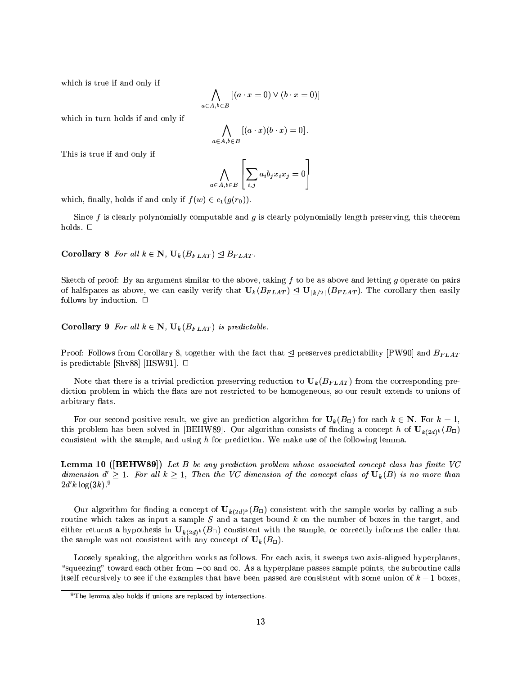which is true if and only if

$$
\bigwedge_{a \in A, b \in B} [(a \cdot x = 0) \vee (b \cdot x = 0)]
$$

which in turn holds if and only if

$$
\bigwedge_{a\in A,b\in B} \left[ (a\cdot x)(b\cdot x) = 0 \right].
$$

This is true if and only if

$$
\bigwedge_{i \in A, b \in B} \left[ \sum_{i,j} a_i b_j x_i x_j = 0 \right]
$$

 $\epsilon$ 

which, finally, holds if and only if  $f(w) \in c_1(g(r_0))$ .

Since  $f$  is clearly polynomially computable and  $g$  is clearly polynomially length preserving, this theorem holds.  $\square$ 

**Corollary** 8 For all  $k \in \mathbb{N}$ ,  $U_k(B_{FLAT}) \triangleleft B_{FLAT}$ .

Sketch of proof: By an argument similar to the above, taking  $f$  to be as above and letting  $g$  operate on pairs of halfspaces as above, we can easily verify that  $U_k(B_{FLAT}) \leq U_{\lceil k/2 \rceil}(B_{FLAT})$ . The corollary then easily follows by induction.  $\Box$ 

**Corollary 9** For all  $k \in \mathbb{N}$ ,  $U_k(B_{FLAT})$  is predictable.

Proof: Follows from Corollary 8, together with the fact that  $\trianglelefteq$  preserves predictability [PW90] and  $B_{FLAT}$ is predictable [Shv88] [HSW91].  $\Box$ 

Note that there is a trivial prediction preserving reduction to  $U_k(B_{FLAT})$  from the corresponding prediction problem in which the flats are not restricted to be homogeneous, so our result extends to unions of arbitrary flats.

For our second positive result, we give an prediction algorithm for  $U_k(B_{\Box})$  for each  $k \in \mathbb{N}$ . For  $k = 1$ , this problem has been solved in [BEHW89]. Our algorithm consists of finding a concept h of  $U_{k(2d)^k}(B_{\Box})$ consistent with the sample, and using  $h$  for prediction. We make use of the following lemma.

**Lemma 10 ([BEHW89])** Let B be any prediction problem whose associated concept class has finite VC dimension  $d' \geq 1$ . For all  $k \geq 1$ , Then the VC dimension of the concept class of  $\mathbf{U}_k(B)$  is no more than  $2d'k\log(3k).^{9}$ 

Our algorithm for finding a concept of  $U_{k(2d)^k}(B_{\Box})$  consistent with the sample works by calling a subroutine which takes as input a sample  $S$  and a target bound  $k$  on the number of boxes in the target, and either returns a hypothesis in  $\mathbf{U}_{k(2d)^k}(B_{\Box})$  consistent with the sample, or correctly informs the caller that the sample was not consistent with any concept of  $U_k(B_{\Box})$ .

Loosely speaking, the algorithm works as follows. For each axis, it sweeps two axis-aligned hyperplanes, "squeezing" toward each other from  $-\infty$  and  $\infty$ . As a hyperplane passes sample points, the subroutine calls itself recursively to see if the examples that have been passed are consistent with some union of  $k-1$  boxes,

<sup>&</sup>lt;sup>9</sup>The lemma also holds if unions are replaced by intersections.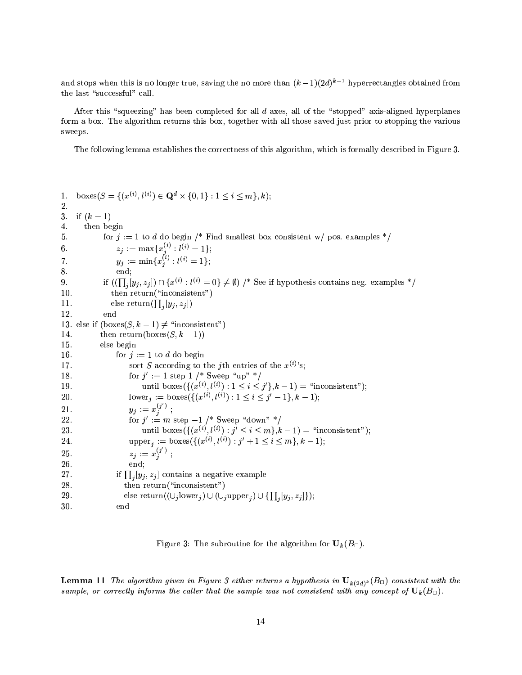and stops when this is no longer true, saving the no more than  $(k-1)(2d)^{k-1}$  hyperrectangles obtained from the last "successful" call.

After this "squeezing" has been completed for all d axes, all of the "stopped" axis-aligned hyperplanes form a box. The algorithm returns this box, together with all those saved just prior to stopping the various sweeps.

The following lemma establishes the correctness of this algorithm, which is formally described in Figure 3.

boxes( $S = \{(x^{(i)}, l^{(i)}) \in \mathbf{Q}^d \times \{0, 1\} : 1 \le i \le m\}, k);$  $1.$ 2. if  $(k = 1)$ 3. 4. then begin for  $j := 1$  to d do begin /\* Find smallest box consistent w/ pos. examples \*/ 5.  $\begin{array}{l} z_j := \max\{x_j^{(i)}: l^{(i)} = 1\};\\ y_j := \min\{x_j^{(i)}: l^{(i)} = 1\}; \end{array}$  $6.$ 7. end: 8. if  $((\prod_i [y_i, z_j]) \cap \{x^{(i)} : l^{(i)} = 0\} \neq \emptyset)$  /\* See if hypothesis contains neg. examples \*/  $9. \,$ then return("inconsistent") 10.  $11.$ else return $(\prod_i [y_i, z_j])$ 12. end 13. else if  $(boxes(S, k-1) \neq$  "inconsistent") 14. then return(boxes( $S, k-1$ )) else begin 15. 16. for  $j := 1$  to d do begin sort S according to the jth entries of the  $x^{(i)}$ 's; 17. for  $j' := 1$  step 1 /\* Sweep "up" \*/ 18. until boxes({ $(x^{(i)}, l^{(i)}) : 1 \le i \le j'$ }, k - 1) = "inconsistent"); 19. lower<sub>i</sub> := boxes({ $(x^{(i)}, l^{(i)}) : 1 \le i \le j'-1$ }, k-1); 20.  $y_j := x_j^{(j')}$ ; 21. for  $j' := m$  step  $-1$  /\* Sweep "down" \*/ 22. 23. until boxes( $\{(x^{(i)}, l^{(i)}) : j' \leq i \leq m\}, k-1$ ) = "inconsistent"); upper<sub>j</sub> := boxes({ $(x^{(i)}, l^{(i)})$ :  $j' + 1 \le i \le m$ }, k - 1); 24.  $z_j := x_j^{(j')}$ ; 25. 26. end: 27. if  $\prod_i [y_i, z_i]$  contains a negative example then return  $("inconsistent")$ 28. 29. else return( $(\cup_j \text{lower}_j) \cup (\cup_j \text{upper}_j) \cup \{\prod_j [y_j, z_j]\});$ 30. end

Figure 3: The subroutine for the algorithm for  $U_k(B_{\Box})$ .

**Lemma 11** The algorithm given in Figure 3 either returns a hypothesis in  $U_{k(2d)^k}(B_{\Box})$  consistent with the sample, or correctly informs the caller that the sample was not consistent with any concept of  $\mathbf{U}_k(B_{\Box})$ .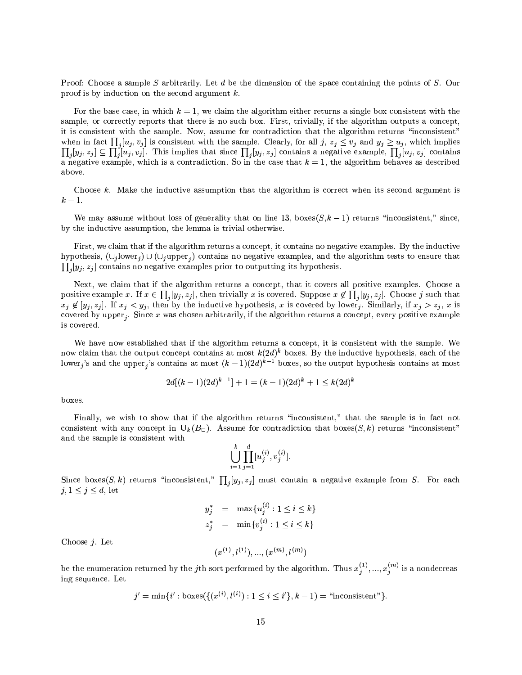Proof: Choose a sample S arbitrarily. Let d be the dimension of the space containing the points of S. Our proof is by induction on the second argument  $k$ .

For the base case, in which  $k = 1$ , we claim the algorithm either returns a single box consistent with the sample, or correctly reports that there is no such box. First, trivially, if the algorithm outputs a concept. it is consistent with the sample. Now, assume for contradiction that the algorithm returns "inconsistent" when in fact  $\prod_i [u_j, v_j]$  is consistent with the sample. Clearly, for all j,  $z_j \le v_j$  and  $y_j \ge u_j$ , which implies  $\prod_i [y_j, z_j] \subseteq \prod_i [u_j, v_j]$ . This implies that since  $\prod_i [y_j, z_j]$  contains a negative example,  $\prod_i [u_j, v_j]$  contains a negative example, which is a contradiction. So in the case that  $k = 1$ , the algorithm behaves as described above.

Choose  $k$ . Make the inductive assumption that the algorithm is correct when its second argument is  $k-1$ .

We may assume without loss of generality that on line 13, boxes  $(S,k-1)$  returns "inconsistent," since. by the inductive assumption, the lemma is trivial otherwise.

First, we claim that if the algorithm returns a concept, it contains no negative examples. By the inductive hypothesis,  $(\cup_j \text{lower}_j) \cup (\cup_j \text{upper}_j)$  contains no negative examples, and the algorithm tests to ensure that  $\prod_{i} [y_i, z_i]$  contains no negative examples prior to outputting its hypothesis.

Next, we claim that if the algorithm returns a concept, that it covers all positive examples. Choose a positive example x. If  $x \in \prod_i [y_i, z_i]$ , then trivially x is covered. Suppose  $x \notin \prod_i [y_i, z_i]$ . Choose j such that  $x_j \notin [y_j, z_j]$ . If  $x_j < y_j$ , then by the inductive hypothesis, x is covered by lower. Similarly, if  $x_j > z_j$ , x is covered by upper<sub>j</sub>. Since x was chosen arbitrarily, if the algorithm returns a concept, every positive example is covered.

We have now established that if the algorithm returns a concept, it is consistent with the sample. We now claim that the output concept contains at most  $k(2d)^k$  boxes. By the inductive hypothesis, each of the lower<sub>j</sub>'s and the upper<sub>j</sub>'s contains at most  $(k-1)(2d)^{k-1}$  boxes, so the output hypothesis contains at most

$$
2d[(k-1)(2d)^{k-1}] + 1 = (k-1)(2d)^{k} + 1 \le k(2d)^{k}
$$

boxes.

Finally, we wish to show that if the algorithm returns "inconsistent," that the sample is in fact not consistent with any concept in  $U_k(B_{\square})$ . Assume for contradiction that  $\text{boxes}(S, k)$  returns "inconsistent" and the sample is consistent with

$$
\bigcup_{i=1}^k \prod_{j=1}^d [u_j^{(i)}, v_j^{(i)}].
$$

Since boxes(S, k) returns "inconsistent,"  $\prod_{i} [y_i, z_i]$  must contain a negative example from S. For each  $j, 1 \leq j \leq d$ , let

$$
y_j^* = \max\{u_j^{(i)} : 1 \le i \le k\}
$$
  

$$
z_j^* = \min\{v_j^{(i)} : 1 \le i \le k\}
$$

Choose  $i$ . Let

be the enumeration returned by the *j*th sort performed by the algorithm. Thus 
$$
x_j^{(1)}, ..., x_j^{(m)}
$$
 is a nondecreasing sequence. Let

 $(x^{(1)}, l^{(1)}), ..., (x^{(m)}, l^{(m)})$ 

$$
j' = \min\{i' : \text{boxes}(\{(x^{(i)}, l^{(i)}) : 1 \le i \le i'\}, k - 1) = \text{``inconsistent"}\}.
$$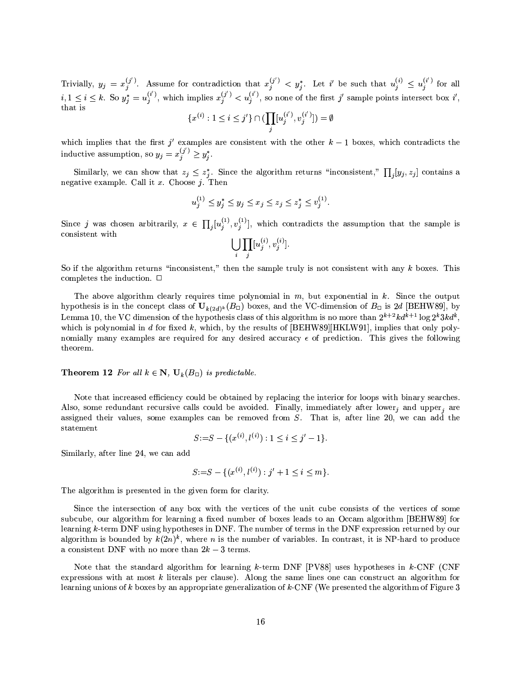Trivially,  $y_j = x_j^{(j')}$ . Assume for contradiction that  $x_j^{(j')} < y_j^*$ . Let *i'* be such that  $u_j^{(i)} \le u_j^{(i')}$  for all  $i, 1 \le i \le k$ . So  $y_j^* = u_j^{(i')}$ , which implies  $x_j^{(j')} < u_j^{(i')}$ , so none of the first *j'* sample points in that is

$$
\{x^{(i)}: 1 \le i \le j'\} \cap (\prod_j [u_j^{(i')}, v_j^{(i')}] ) = \emptyset
$$

which implies that the first j' examples are consistent with the other  $k-1$  boxes, which contradicts the inductive assumption, so  $y_j = x_j^{(j')} \ge y_i^*$ .

Similarly, we can show that  $z_j \leq z_j^*$ . Since the algorithm returns "inconsistent,"  $\prod_j [y_j, z_j]$  contains a negative example. Call it x. Choose j. Then

$$
u_j^{(1)} \le y_j^* \le y_j \le x_j \le z_j \le z_j^* \le v_j^{(1)}.
$$

Since j was chosen arbitrarily,  $x \in \prod_i [u_j^{(1)}, v_j^{(1)}]$ , which contradicts the assumption that the sample is consistent with

$$
\bigcup_i \prod_j [u_j^{(i)}, v_j^{(i)}].
$$

So if the algorithm returns "inconsistent," then the sample truly is not consistent with any  $k$  boxes. This completes the induction.  $\Box$ 

The above algorithm clearly requires time polynomial in  $m$ , but exponential in  $k$ . Since the output hypothesis is in the concept class of  $U_{k(2d)^k}(B_{\Box})$  boxes, and the VC-dimension of  $B_{\Box}$  is 2d [BEHW89], by Lemma 10, the VC dimension of the hypothesis class of this algorithm is no more than  $2^{k+2}k d^{k+1} \log 2^k 3k d^k$ . which is polynomial in d for fixed k, which, by the results of [BEHW89][HKLW91], implies that only polynomially many examples are required for any desired accuracy  $\epsilon$  of prediction. This gives the following theorem.

**Theorem 12** For all  $k \in \mathbb{N}$ ,  $U_k(B_{\square})$  is predictable.

Note that increased efficiency could be obtained by replacing the interior for loops with binary searches. Also, some redundant recursive calls could be avoided. Finally, immediately after lower, and upper, are assigned their values, some examples can be removed from  $S$ . That is, after line 20, we can add the statement

$$
S := S - \{ (x^{(i)}, l^{(i)}) : 1 \le i \le j' - 1 \}.
$$

Similarly, after line 24, we can add

$$
S := S - \{ (x^{(i)}, l^{(i)}) : j' + 1 \le i \le m \}.
$$

The algorithm is presented in the given form for clarity.

Since the intersection of any box with the vertices of the unit cube consists of the vertices of some subcube, our algorithm for learning a fixed number of boxes leads to an Occam algorithm [BEHW89] for learning k-term DNF using hypotheses in DNF. The number of terms in the DNF expression returned by our algorithm is bounded by  $k(2n)^k$ , where *n* is the number of variables. In contrast, it is NP-hard to produce a consistent DNF with no more than  $2k-3$  terms.

Note that the standard algorithm for learning  $k$ -term DNF [PV88] uses hypotheses in  $k$ -CNF (CNF expressions with at most  $k$  literals per clause). Along the same lines one can construct an algorithm for learning unions of k boxes by an appropriate generalization of k-CNF (We presented the algorithm of Figure 3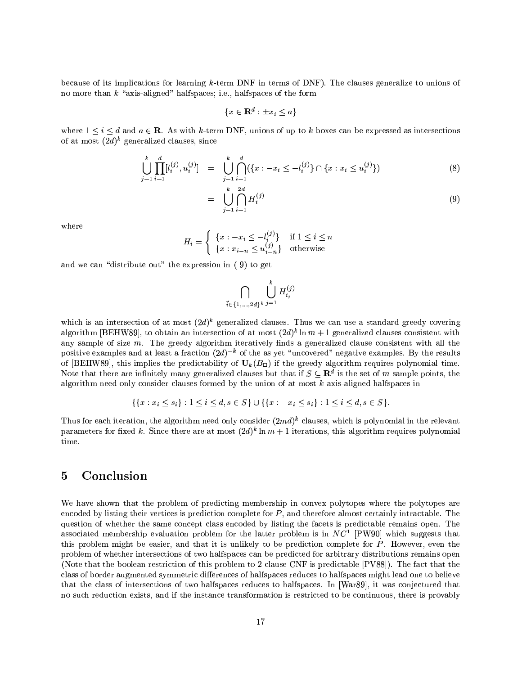because of its implications for learning  $k$ -term DNF in terms of DNF). The clauses generalize to unions of no more than  $k$  "axis-aligned" halfspaces; i.e., halfspaces of the form

$$
\{x \in \mathbf{R}^d : \pm x_i \le a\}
$$

where  $1 \leq i \leq d$  and  $a \in \mathbb{R}$ . As with k-term DNF, unions of up to k boxes can be expressed as intersections of at most  $(2d)^k$  generalized clauses, since

$$
\bigcup_{j=1}^{k} \prod_{i=1}^{d} [l_i^{(j)}, u_i^{(j)}] = \bigcup_{j=1}^{k} \bigcap_{i=1}^{d} (\{x : -x_i \le -l_i^{(j)}\} \cap \{x : x_i \le u_i^{(j)}\})
$$
\n(8)

$$
= \bigcup_{j=1}^{k} \bigcap_{i=1}^{2d} H_i^{(j)} \tag{9}
$$

where

$$
H_i = \begin{cases} \n\{x : -x_i \le -l_i^{(j)}\} & \text{if } 1 \le i \le n \\
\{x : x_{i-n} \le u_{i-n}^{(j)}\} & \text{otherwise}\n\end{cases}
$$

and we can "distribute out" the expression in (9) to get

$$
\bigcap_{\vec{i}\in\{1,\ldots,2d\}^k} \bigcup_{j=1}^k H_{i_j}^{(j)}
$$

which is an intersection of at most  $(2d)^k$  generalized clauses. Thus we can use a standard greedy covering algorithm [BEHW89], to obtain an intersection of at most  $(2d)^k \ln m + 1$  generalized clauses consistent with any sample of size  $m$ . The greedy algorithm iteratively finds a generalized clause consistent with all the positive examples and at least a fraction  $(2d)^{-k}$  of the as vet "uncovered" negative examples. By the results of [BEHW89], this implies the predictability of  $U_k(B_{\square})$  if the greedy algorithm requires polynomial time. Note that there are infinitely many generalized clauses but that if  $S \subseteq \mathbb{R}^d$  is the set of m sample points, the algorithm need only consider clauses formed by the union of at most  $k$  axis-aligned halfspaces in

$$
\{\{x: x_i \le s_i\} : 1 \le i \le d, s \in S\} \cup \{\{x: -x_i \le s_i\} : 1 \le i \le d, s \in S\}.
$$

Thus for each iteration, the algorithm need only consider  $(2md)^k$  clauses, which is polynomial in the relevant parameters for fixed k. Since there are at most  $(2d)^k \ln m + 1$  iterations, this algorithm requires polynomial time.

### Conclusion  $\overline{5}$

We have shown that the problem of predicting membership in convex polytopes where the polytopes are encoded by listing their vertices is prediction complete for  $P$ , and therefore almost certainly intractable. The question of whether the same concept class encoded by listing the facets is predictable remains open. The associated membership evaluation problem for the latter problem is in  $NC<sup>1</sup>$  [PW90] which suggests that this problem might be easier, and that it is unlikely to be prediction complete for P. However, even the problem of whether intersections of two halfspaces can be predicted for arbitrary distributions remains open (Note that the boolean restriction of this problem to 2-clause CNF is predictable [PV88]). The fact that the class of border augmented symmetric differences of halfspaces reduces to halfspaces might lead one to believe that the class of intersections of two halfspaces reduces to halfspaces. In [War89], it was conjectured that no such reduction exists, and if the instance transformation is restricted to be continuous, there is provably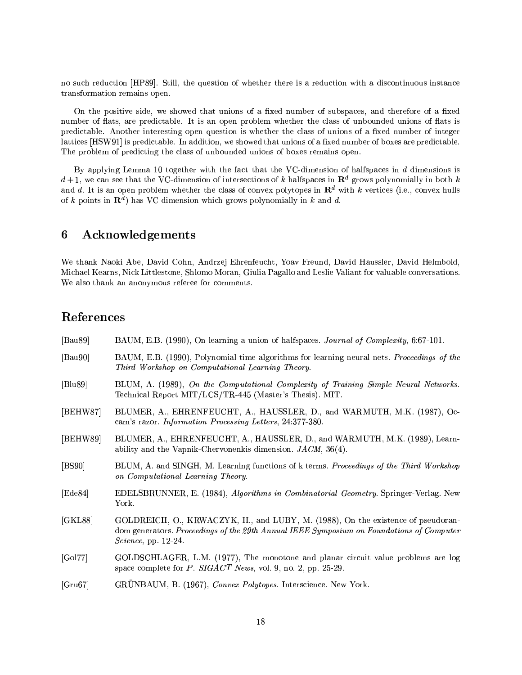no such reduction [HP89]. Still, the question of whether there is a reduction with a discontinuous instance transformation remains open.

On the positive side, we showed that unions of a fixed number of subspaces, and therefore of a fixed number of flats, are predictable. It is an open problem whether the class of unbounded unions of flats is predictable. Another interesting open question is whether the class of unions of a fixed number of integer lattices [HSW91] is predictable. In addition, we showed that unions of a fixed number of boxes are predictable. The problem of predicting the class of unbounded unions of boxes remains open.

By applying Lemma 10 together with the fact that the VC-dimension of halfspaces in  $d$  dimensions is  $d+1$ , we can see that the VC-dimension of intersections of k halfspaces in  $\mathbb{R}^d$  grows polynomially in both k and d. It is an open problem whether the class of convex polytopes in  $\mathbb{R}^d$  with k vertices (i.e., convex hulls of k points in  $\mathbb{R}^d$  has VC dimension which grows polynomially in k and d.

### Acknowledgements 6

We thank Naoki Abe, David Cohn, Andrzej Ehrenfeucht, Yoav Freund, David Haussler, David Helmbold, Michael Kearns, Nick Littlestone, Shlomo Moran, Giulia Pagallo and Leslie Valiant for valuable conversations. We also thank an anonymous referee for comments.

# References

| [Bau89]  | BAUM, E.B. (1990), On learning a union of halfspaces. Journal of Complexity, 6:67-101.                                                                                                                 |  |
|----------|--------------------------------------------------------------------------------------------------------------------------------------------------------------------------------------------------------|--|
| [Bau90]  | BAUM, E.B. (1990), Polynomial time algorithms for learning neural nets. Proceedings of the<br>Third Workshop on Computational Learning Theory.                                                         |  |
| Blu89    | BLUM, A. (1989), On the Computational Complexity of Training Simple Neural Networks.<br>Technical Report MIT/LCS/TR-445 (Master's Thesis). MIT.                                                        |  |
| [BEHW87] | BLUMER, A., EHRENFEUCHT, A., HAUSSLER, D., and WARMUTH, M.K. (1987), Oc-<br>cam's razor. Information Processing Letters, 24:377-380.                                                                   |  |
| [BEHW89] | BLUMER, A., EHRENFEUCHT, A., HAUSSLER, D., and WARMUTH, M.K. (1989), Learn-<br>ability and the Vapnik-Chervonenkis dimension. $JACM$ , 36(4).                                                          |  |
| [BS90]   | BLUM, A. and SINGH, M. Learning functions of k terms. Proceedings of the Third Workshop<br>on Computational Learning Theory.                                                                           |  |
| [Ede84]  | EDELSBRUNNER, E. (1984), Algorithms in Combinatorial Geometry. Springer-Verlag. New<br>York.                                                                                                           |  |
| [GKL88]  | GOLDREICH, O., KRWACZYK, H., and LUBY, M. (1988), On the existence of pseudoran-<br>dom generators. Proceedings of the 29th Annual IEEE Symposium on Foundations of Computer<br>Science, pp. $12-24$ . |  |
| [Gol77]  | GOLDSCHLAGER, L.M. (1977), The monotone and planar circuit value problems are log<br>space complete for $P$ . SIGACT News, vol. 9, no. 2, pp. 25-29.                                                   |  |
| [Gru67]  | GRÜNBAUM, B. (1967), Convex Polytopes. Interscience. New York.                                                                                                                                         |  |